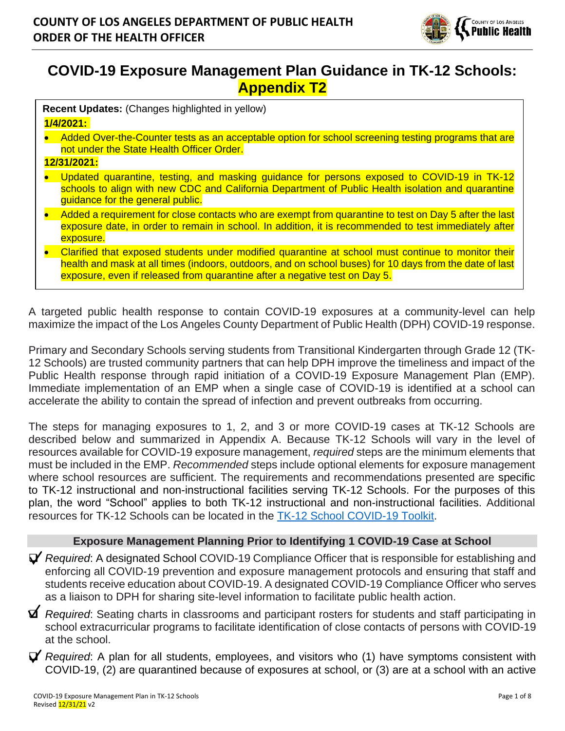

# **COVID-19 Exposure Management Plan Guidance in TK-12 Schools: Appendix T2**

| Recent Updates: (Changes highlighted in yellow)<br>1/4/2021: |                                                                                                                                                                                                                                                                                             |
|--------------------------------------------------------------|---------------------------------------------------------------------------------------------------------------------------------------------------------------------------------------------------------------------------------------------------------------------------------------------|
|                                                              | Added Over-the-Counter tests as an acceptable option for school screening testing programs that are<br>not under the State Health Officer Order.                                                                                                                                            |
| 12/31/2021:                                                  |                                                                                                                                                                                                                                                                                             |
|                                                              | Updated quarantine, testing, and masking guidance for persons exposed to COVID-19 in TK-12<br>schools to align with new CDC and California Department of Public Health isolation and quarantine<br>quidance for the general public.                                                         |
|                                                              | Added a requirement for close contacts who are exempt from quarantine to test on Day 5 after the last<br>exposure date, in order to remain in school. In addition, it is recommended to test immediately after<br>exposure.                                                                 |
|                                                              | Clarified that exposed students under modified quarantine at school must continue to monitor their<br>health and mask at all times (indoors, outdoors, and on school buses) for 10 days from the date of last<br>exposure, even if released from quarantine after a negative test on Day 5. |

A targeted public health response to contain COVID-19 exposures at a community-level can help maximize the impact of the Los Angeles County Department of Public Health (DPH) COVID-19 response.

Primary and Secondary Schools serving students from Transitional Kindergarten through Grade 12 (TK-12 Schools) are trusted community partners that can help DPH improve the timeliness and impact of the Public Health response through rapid initiation of a COVID-19 Exposure Management Plan (EMP). Immediate implementation of an EMP when a single case of COVID-19 is identified at a school can accelerate the ability to contain the spread of infection and prevent outbreaks from occurring.

The steps for managing exposures to 1, 2, and 3 or more COVID-19 cases at TK-12 Schools are described below and summarized in Appendix A. Because TK-12 Schools will vary in the level of resources available for COVID-19 exposure management, *required* steps are the minimum elements that must be included in the EMP. *Recommended* steps include optional elements for exposure management where school resources are sufficient. The requirements and recommendations presented are specific to TK-12 instructional and non-instructional facilities serving TK-12 Schools. For the purposes of this plan, the word "School" applies to both TK-12 instructional and non-instructional facilities. Additional resources for TK-12 Schools can be located in the [TK-12 School COVID-19 Toolkit.](http://ph.lacounty.gov/acd/ncorona2019/EducationToolkit/TK12/)

#### **Exposure Management Planning Prior to Identifying 1 COVID-19 Case at School**

❑ *Required*: A designated School COVID-19 Compliance Officer that is responsible for establishing and enforcing all COVID-19 prevention and exposure management protocols and ensuring that staff and students receive education about COVID-19. A designated COVID-19 Compliance Officer who serves as a liaison to DPH for sharing site-level information to facilitate public health action.

❑ *Required*: Seating charts in classrooms and participant rosters for students and staff participating in school extracurricular programs to facilitate identification of close contacts of persons with COVID-19 at the school.

❑ *Required*: A plan for all students, employees, and visitors who (1) have symptoms consistent with COVID-19, (2) are quarantined because of exposures at school, or (3) are at a school with an active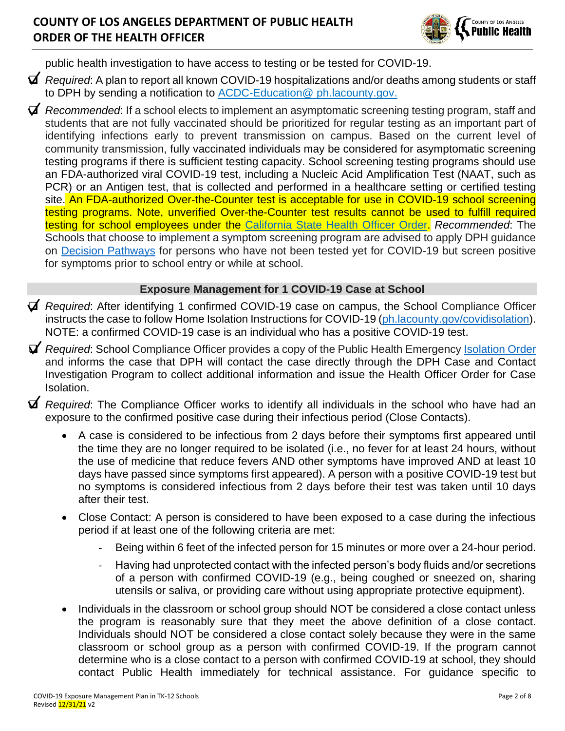

public health investigation to have access to testing or be tested for COVID-19.

- ❑ *Required*: A plan to report all known COVID-19 hospitalizations and/or deaths among students or staff to DPH by sending a notification to **ACDC-Education**@ ph.lacounty.gov.
- ❑ *Recommended*: If a school elects to implement an asymptomatic screening testing program, staff and students that are not fully vaccinated should be prioritized for regular testing as an important part of identifying infections early to prevent transmission on campus. Based on the current level of community transmission, fully vaccinated individuals may be considered for asymptomatic screening testing programs if there is sufficient testing capacity. School screening testing programs should use an FDA-authorized viral COVID-19 test, including a Nucleic Acid Amplification Test (NAAT, such as PCR) or an Antigen test, that is collected and performed in a healthcare setting or certified testing site. An FDA-authorized Over-the-Counter test is acceptable for use in COVID-19 school screening testing programs. Note, unverified Over-the-Counter test results cannot be used to fulfill required testing for school employees under the California [State Health Officer Order.](https://www.cdph.ca.gov/Programs/CID/DCDC/Pages/COVID-19/Order-of-the-State-Public-Health-Officer-Vaccine-Verification-for-Workers-in-Schools.aspx) *Recommended*: The Schools that choose to implement a symptom screening program are advised to apply DPH guidance on [Decision Pathways](http://publichealth.lacounty.gov/media/Coronavirus/docs/education/ScreeningEducationSettings.pdf) for persons who have not been tested yet for COVID-19 but screen positive for symptoms prior to school entry or while at school.

#### **Exposure Management for 1 COVID-19 Case at School**

- ❑ *Required*: After identifying 1 confirmed COVID-19 case on campus, the School Compliance Officer instructs the case to follow Home Isolation Instructions for COVID-19 (ph. lacounty.gov/covidisolation). NOTE: a confirmed COVID-19 case is an individual who has a positive COVID-19 test.
- ❑ *Required*: School Compliance Officer provides a copy of the Public Health Emergency [Isolation Order](http://publichealth.lacounty.gov/media/Coronavirus/docs/HOO/HOO_Coronavirus_Blanket_Isolation.pdf) and informs the case that DPH will contact the case directly through the DPH Case and Contact Investigation Program to collect additional information and issue the Health Officer Order for Case Isolation.
- ❑ *Required*: The Compliance Officer works to identify all individuals in the school who have had an exposure to the confirmed positive case during their infectious period (Close Contacts).
	- A case is considered to be infectious from 2 days before their symptoms first appeared until the time they are no longer required to be isolated (i.e., no fever for at least 24 hours, without the use of medicine that reduce fevers AND other symptoms have improved AND at least 10 days have passed since symptoms first appeared). A person with a positive COVID-19 test but no symptoms is considered infectious from 2 days before their test was taken until 10 days after their test.
	- Close Contact: A person is considered to have been exposed to a case during the infectious period if at least one of the following criteria are met:
		- Being within 6 feet of the infected person for 15 minutes or more over a 24-hour period.
		- Having had unprotected contact with the infected person's body fluids and/or secretions of a person with confirmed COVID-19 (e.g., being coughed or sneezed on, sharing utensils or saliva, or providing care without using appropriate protective equipment).
	- Individuals in the classroom or school group should NOT be considered a close contact unless the program is reasonably sure that they meet the above definition of a close contact. Individuals should NOT be considered a close contact solely because they were in the same classroom or school group as a person with confirmed COVID-19. If the program cannot determine who is a close contact to a person with confirmed COVID-19 at school, they should contact Public Health immediately for technical assistance. For guidance specific to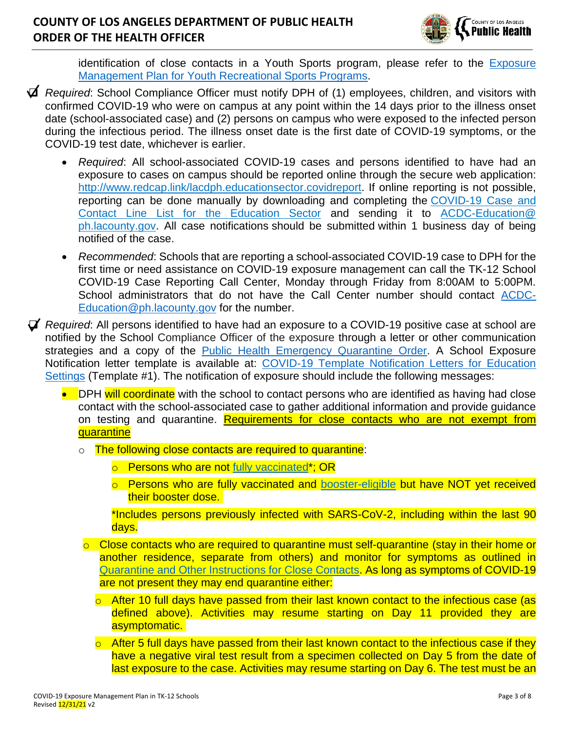

identification of close contacts in a Youth Sports program, please refer to the Exposure [Management Plan for Youth Recreational Sports Programs.](http://publichealth.lacounty.gov/media/Coronavirus/docs/protocols/ExposureManagementPlan_YouthSports.pdf)

- ❑ *Required*: School Compliance Officer must notify DPH of (1) employees, children, and visitors with confirmed COVID-19 who were on campus at any point within the 14 days prior to the illness onset date (school-associated case) and (2) persons on campus who were exposed to the infected person during the infectious period. The illness onset date is the first date of COVID-19 symptoms, or the COVID-19 test date, whichever is earlier.
	- *Required*: All school-associated COVID-19 cases and persons identified to have had an exposure to cases on campus should be reported online through the secure web application: [http://www.redcap.link/lacdph.educationsector.covidreport.](http://www.redcap.link/lacdph.educationsector.covidreport) If online reporting is not possible, reporting can be done manually by downloading and completing the [COVID-19 Case and](http://publichealth.lacounty.gov/acd/Diseases/EpiForms/COVID_OBlinelist_Education_Sector.xlsm)  [Contact Line List for the Education Sector](http://publichealth.lacounty.gov/acd/Diseases/EpiForms/COVID_OBlinelist_Education_Sector.xlsm) and sending it to [ACDC-Education@](mailto:ACDC-Education@ph.lacounty.gov)  [ph.lacounty.gov.](mailto:ACDC-Education@ph.lacounty.gov) All case notifications should be submitted within 1 business day of being notified of the case.
	- *Recommended*: Schools that are reporting a school-associated COVID-19 case to DPH for the first time or need assistance on COVID-19 exposure management can call the TK-12 School COVID-19 Case Reporting Call Center, Monday through Friday from 8:00AM to 5:00PM. School administrators that do not have the Call Center number should contact [ACDC-](mailto:ACDC-Education@ph.lacounty.gov)[Education@ph.lacounty.gov](mailto:ACDC-Education@ph.lacounty.gov) for the number.
- ❑ *Required*: All persons identified to have had an exposure to a COVID-19 positive case at school are notified by the School Compliance Officer of the exposure through a letter or other communication strategies and a copy of the [Public Health Emergency Quarantine Order.](http://publichealth.lacounty.gov/media/coronavirus/docs/HOO/HOO_Coronavirus_Blanket_Quarantine.pdf) A School Exposure Notification letter template is available at: [COVID-19](http://publichealth.lacounty.gov/acd/Diseases/EpiForms/COVID_TemplateNotificationLetters_Educational_Settings.docx) [Template Notification Letters for Education](http://publichealth.lacounty.gov/acd/Diseases/EpiForms/COVID_TemplateNotificationLetters_Educational_Settings_TK12.docx)  [Settings](http://publichealth.lacounty.gov/acd/Diseases/EpiForms/COVID_TemplateNotificationLetters_Educational_Settings_TK12.docx) (Template #1). The notification of exposure should include the following messages:
	- DPH will coordinate with the school to contact persons who are identified as having had close contact with the school-associated case to gather additional information and provide guidance on testing and quarantine. Requirements for close contacts who are not exempt from **quarantine** 
		- o The following close contacts are required to quarantine:
			- o Persons who are not [fully vaccinated\\*](http://publichealth.lacounty.gov/acd/ncorona2019/vaccine/fullyvaccinated/); OR
			- o Persons who are fully vaccinated and [booster-eligible](http://publichealth.lacounty.gov/media/Coronavirus/docs/vaccine/VaccineEligibilitySummaryTable.pdf) but have NOT yet received their booster dose.

\*Includes persons previously infected with SARS-CoV-2, including within the last 90 days.

- $\circ$  Close contacts who are required to quarantine must self-quarantine (stay in their home or another residence, separate from others) and monitor for symptoms as outlined in [Quarantine and Other Instructions for Close Contacts.](http://publichealth.lacounty.gov/acd/ncorona2019/covidquarantine/) As long as symptoms of COVID-19 are not present they may end quarantine either:
	- o After 10 full days have passed from their last known contact to the infectious case (as defined above). Activities may resume starting on Day 11 provided they are asymptomatic.
	- $\circ$  After 5 full days have passed from their last known contact to the infectious case if they have a negative viral test result from a specimen collected on Day 5 from the date of last exposure to the case. Activities may resume starting on Day 6. The test must be an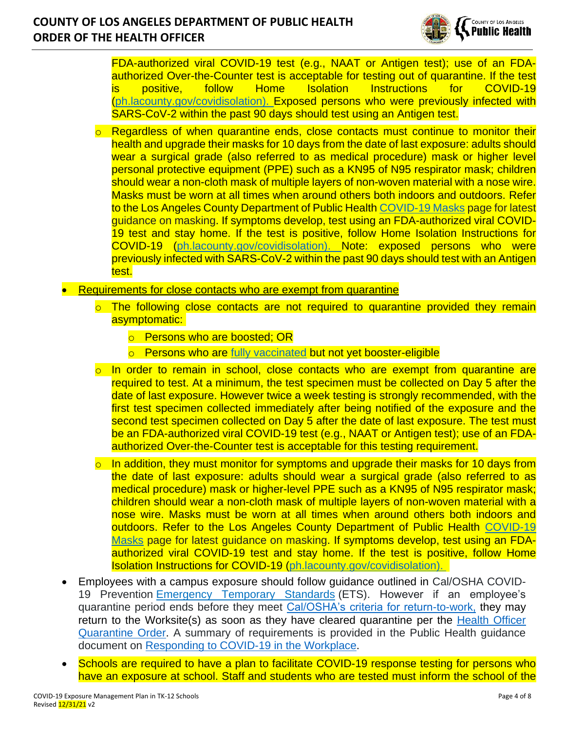### **COUNTY OF LOS ANGELES DEPARTMENT OF PUBLIC HEALTH ORDER OF THE HEALTH OFFICER**



FDA-authorized viral COVID-19 test (e.g., NAAT or Antigen test); use of an FDAauthorized Over-the-Counter test is acceptable for testing out of quarantine. If the test is positive, follow Home Isolation Instructions for COVID-19 [\(ph.lacounty.gov/covidisolation\)](http://publichealth.lacounty.gov/acd/ncorona2019/covidisolation/). Exposed persons who were previously infected with SARS-CoV-2 within the past 90 days should test using an Antigen test.

- Regardless of when quarantine ends, close contacts must continue to monitor their health and upgrade their masks for 10 days from the date of last exposure: adults should wear a surgical grade (also referred to as medical procedure) mask or higher level personal protective equipment (PPE) such as a KN95 of N95 respirator mask; children should wear a non-cloth mask of multiple layers of non-woven material with a nose wire. Masks must be worn at all times when around others both indoors and outdoors. Refer to the Los Angeles County Department of Public Health [COVID-19 Masks](http://publichealth.lacounty.gov/acd/ncorona2019/masks/) page for latest guidance on masking. If symptoms develop, test using an FDA-authorized viral COVID-19 test and stay home. If the test is positive, follow Home Isolation Instructions for COVID-19 [\(ph.lacounty.gov/covidisolation\)](http://publichealth.lacounty.gov/acd/ncorona2019/covidisolation/). Note: exposed persons who were previously infected with SARS-CoV-2 within the past 90 days should test with an Antigen test.
- Requirements for close contacts who are exempt from quarantine
	- The following close contacts are not required to quarantine provided they remain asymptomatic:
		- o Persons who are boosted: OR
		- o Persons who are [fully vaccinated](http://publichealth.lacounty.gov/acd/ncorona2019/vaccine/fullyvaccinated/) but not yet booster-eligible
	- In order to remain in school, close contacts who are exempt from quarantine are required to test. At a minimum, the test specimen must be collected on Day 5 after the date of last exposure. However twice a week testing is strongly recommended, with the first test specimen collected immediately after being notified of the exposure and the second test specimen collected on Day 5 after the date of last exposure. The test must be an FDA-authorized viral COVID-19 test (e.g., NAAT or Antigen test); use of an FDAauthorized Over-the-Counter test is acceptable for this testing requirement.
	- $\circ$  In addition, they must monitor for symptoms and upgrade their masks for 10 days from the date of last exposure: adults should wear a surgical grade (also referred to as medical procedure) mask or higher-level PPE such as a KN95 of N95 respirator mask; children should wear a non-cloth mask of multiple layers of non-woven material with a nose wire. Masks must be worn at all times when around others both indoors and outdoors. Refer to the Los Angeles County Department of Public Health [COVID-19](http://publichealth.lacounty.gov/acd/ncorona2019/masks/)  [Masks](http://publichealth.lacounty.gov/acd/ncorona2019/masks/) page for latest guidance on masking. If symptoms develop, test using an FDAauthorized viral COVID-19 test and stay home. If the test is positive, follow Home Isolation Instructions for COVID-19 [\(ph.lacounty.gov/covidisolation\)](http://publichealth.lacounty.gov/acd/ncorona2019/covidisolation/).
- Employees with a campus exposure should follow guidance outlined in Cal/OSHA COVID-19 Prevention [Emergency Temporary Standards](https://www.dir.ca.gov/dosh/coronavirus/ETS.html) (ETS). However if an employee's quarantine period ends before they meet [Cal/OSHA's criteria for return-to-work,](https://dir.ca.gov/dosh/coronavirus/COVID19FAQs.html#outbreaks) they may return to the Worksite(s) as soon as they have cleared quarantine per the [Health Officer](http://publichealth.lacounty.gov/media/coronavirus/docs/HOO/HOO_Coronavirus_Blanket_Quarantine.pdf)  [Quarantine Order.](http://publichealth.lacounty.gov/media/coronavirus/docs/HOO/HOO_Coronavirus_Blanket_Quarantine.pdf) A summary of requirements is provided in the Public Health guidance document on [Responding to COVID-19 in the Workplace.](http://publichealth.lacounty.gov/acd/ncorona2019/workplaceresponse/)
- Schools are required to have a plan to facilitate COVID-19 response testing for persons who have an exposure at school. Staff and students who are tested must inform the school of the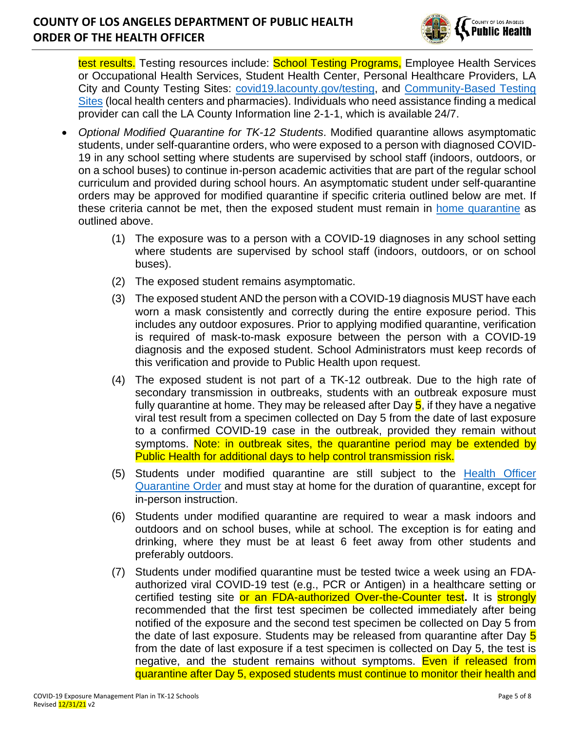

test results. Testing resources include: School Testing Programs, Employee Health Services or Occupational Health Services, Student Health Center, Personal Healthcare Providers, LA City and County Testing Sites: [covid19.lacounty.gov/testing,](https://covid19.lacounty.gov/testing/) and [Community-Based Testing](https://www.hhs.gov/coronavirus/community-based-testing-sites/index.html)  [Sites](https://www.hhs.gov/coronavirus/community-based-testing-sites/index.html) (local health centers and pharmacies). Individuals who need assistance finding a medical provider can call the LA County Information line 2-1-1, which is available 24/7.

- *Optional Modified Quarantine for TK-12 Students*. Modified quarantine allows asymptomatic students, under self-quarantine orders, who were exposed to a person with diagnosed COVID-19 in any school setting where students are supervised by school staff (indoors, outdoors, or on a school buses) to continue in-person academic activities that are part of the regular school curriculum and provided during school hours. An asymptomatic student under self-quarantine orders may be approved for modified quarantine if specific criteria outlined below are met. If these criteria cannot be met, then the exposed student must remain in [home quarantine](http://publichealth.lacounty.gov/acd/ncorona2019/covidquarantine/) as outlined above.
	- (1) The exposure was to a person with a COVID-19 diagnoses in any school setting where students are supervised by school staff (indoors, outdoors, or on school buses).
	- (2) The exposed student remains asymptomatic.
	- (3) The exposed student AND the person with a COVID-19 diagnosis MUST have each worn a mask consistently and correctly during the entire exposure period. This includes any outdoor exposures. Prior to applying modified quarantine, verification is required of mask-to-mask exposure between the person with a COVID-19 diagnosis and the exposed student. School Administrators must keep records of this verification and provide to Public Health upon request.
	- (4) The exposed student is not part of a TK-12 outbreak. Due to the high rate of secondary transmission in outbreaks, students with an outbreak exposure must fully quarantine at home. They may be released after Day 5, if they have a negative viral test result from a specimen collected on Day 5 from the date of last exposure to a confirmed COVID-19 case in the outbreak, provided they remain without symptoms. Note: in outbreak sites, the quarantine period may be extended by Public Health for additional days to help control transmission risk.
	- (5) Students under modified quarantine are still subject to the [Health Officer](http://publichealth.lacounty.gov/media/Coronavirus/docs/HOO/HOO_Coronavirus_Blanket_Quarantine.pdf)  [Quarantine Order](http://publichealth.lacounty.gov/media/Coronavirus/docs/HOO/HOO_Coronavirus_Blanket_Quarantine.pdf) and must stay at home for the duration of quarantine, except for in-person instruction.
	- (6) Students under modified quarantine are required to wear a mask indoors and outdoors and on school buses, while at school. The exception is for eating and drinking, where they must be at least 6 feet away from other students and preferably outdoors.
	- (7) Students under modified quarantine must be tested twice a week using an FDAauthorized viral COVID-19 test (e.g., PCR or Antigen) in a healthcare setting or certified testing site or an FDA-authorized Over-the-Counter test**.** It is strongly recommended that the first test specimen be collected immediately after being notified of the exposure and the second test specimen be collected on Day 5 from the date of last exposure. Students may be released from quarantine after Day 5 from the date of last exposure if a test specimen is collected on Day 5, the test is negative, and the student remains without symptoms. Even if released from quarantine after Day 5, exposed students must continue to monitor their health and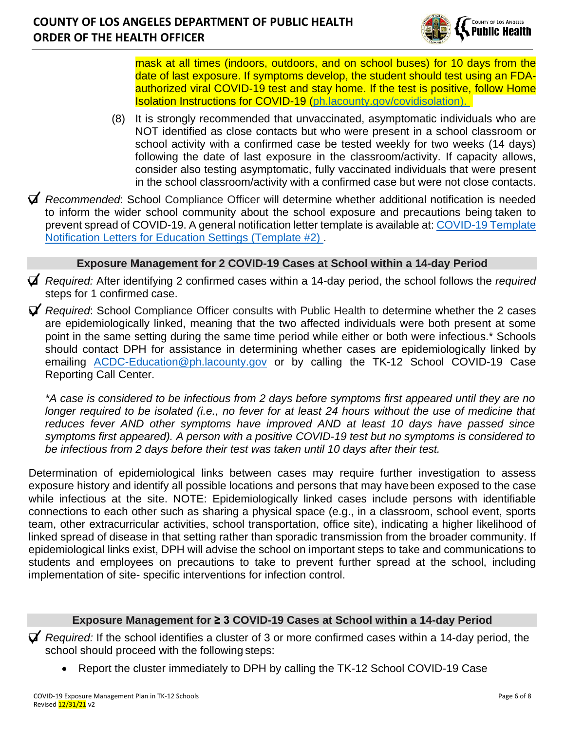

mask at all times (indoors, outdoors, and on school buses) for 10 days from the date of last exposure. If symptoms develop, the student should test using an FDAauthorized viral COVID-19 test and stay home. If the test is positive, follow Home Isolation Instructions for COVID-19 [\(ph.lacounty.gov/covidisolation\)](http://publichealth.lacounty.gov/acd/ncorona2019/covidisolation/).

- (8) It is strongly recommended that unvaccinated, asymptomatic individuals who are NOT identified as close contacts but who were present in a school classroom or school activity with a confirmed case be tested weekly for two weeks (14 days) following the date of last exposure in the classroom/activity. If capacity allows, consider also testing asymptomatic, fully vaccinated individuals that were present in the school classroom/activity with a confirmed case but were not close contacts.
- ❑ *Recommended*: School Compliance Officer will determine whether additional notification is needed to inform the wider school community about the school exposure and precautions being taken to prevent spread of COVID-19. A general notification letter template is available at: [COVID-19](http://publichealth.lacounty.gov/acd/Diseases/EpiForms/COVID_TemplateNotificationLetters_Educational_Settings_TK12.docx) [Template](http://publichealth.lacounty.gov/acd/Diseases/EpiForms/COVID_TemplateNotificationLetters_Educational_Settings_TK12.docx)  [Notification Letters for Education Settings](http://publichealth.lacounty.gov/acd/Diseases/EpiForms/COVID_TemplateNotificationLetters_Educational_Settings_TK12.docx) (Template #2) .

#### **Exposure Management for 2 COVID-19 Cases at School within a 14-day Period**

- ❑ *Required:* After identifying 2 confirmed cases within a 14-day period, the school follows the *required*  steps for 1 confirmed case.
- ❑ *Required*: School Compliance Officer consults with Public Health to determine whether the 2 cases are epidemiologically linked, meaning that the two affected individuals were both present at some point in the same setting during the same time period while either or both were infectious.\* Schools should contact DPH for assistance in determining whether cases are epidemiologically linked by emailing [ACDC-Education@ph.lacounty.gov](mailto:ACDC-Education@ph.lacounty.gov) or by calling the TK-12 School COVID-19 Case Reporting Call Center.

*\*A case is considered to be infectious from 2 days before symptoms first appeared until they are no longer required to be isolated (i.e., no fever for at least 24 hours without the use of medicine that reduces fever AND other symptoms have improved AND at least 10 days have passed since symptoms first appeared). A person with a positive COVID-19 test but no symptoms is considered to be infectious from 2 days before their test was taken until 10 days after their test.*

Determination of epidemiological links between cases may require further investigation to assess exposure history and identify all possible locations and persons that may havebeen exposed to the case while infectious at the site. NOTE: Epidemiologically linked cases include persons with identifiable connections to each other such as sharing a physical space (e.g., in a classroom, school event, sports team, other extracurricular activities, school transportation, office site), indicating a higher likelihood of linked spread of disease in that setting rather than sporadic transmission from the broader community. If epidemiological links exist, DPH will advise the school on important steps to take and communications to students and employees on precautions to take to prevent further spread at the school, including implementation of site- specific interventions for infection control.

#### **Exposure Management for ≥ 3 COVID-19 Cases at School within a 14-day Period**

❑ *Required:* If the school identifies a cluster of 3 or more confirmed cases within a 14-day period, the school should proceed with the following steps:

• Report the cluster immediately to DPH by calling the TK-12 School COVID-19 Case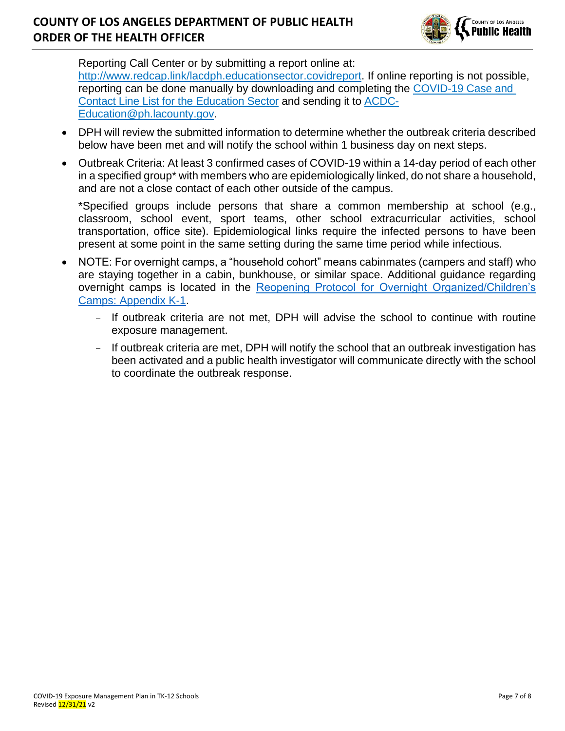

Reporting Call Center or by submitting a report online at: [http://www.redcap.link/lacdph.educationsector.covidreport.](http://www.redcap.link/lacdph.educationsector.covidreport) If online reporting is not possible, reporting can be done manually by downloading and completing the [COVID-19 Case and](http://publichealth.lacounty.gov/acd/Diseases/EpiForms/COVID_OBlinelist_Education_Sector.xlsm)  [Contact Line List for the Education Sector](http://publichealth.lacounty.gov/acd/Diseases/EpiForms/COVID_OBlinelist_Education_Sector.xlsm) and sending it to [ACDC-](mailto:ACDC-Education@ph.lacounty.gov)[Education@ph.lacounty.gov.](mailto:ACDC-Education@ph.lacounty.gov)

- DPH will review the submitted information to determine whether the outbreak criteria described below have been met and will notify the school within 1 business day on next steps.
- Outbreak Criteria: At least 3 confirmed cases of COVID-19 within a 14-day period of each other in a specified group\* with members who are epidemiologically linked, do not share a household, and are not a close contact of each other outside of the campus.

\*Specified groups include persons that share a common membership at school (e.g., classroom, school event, sport teams, other school extracurricular activities, school transportation, office site). Epidemiological links require the infected persons to have been present at some point in the same setting during the same time period while infectious.

- NOTE: For overnight camps, a "household cohort" means cabinmates (campers and staff) who are staying together in a cabin, bunkhouse, or similar space. Additional guidance regarding overnight camps is located in the [Reopening Protocol for Overnight Organized/Children's](http://publichealth.lacounty.gov/media/coronavirus/docs/protocols/Reopening_OvernightCamps.pdf)  [Camps: Appendix K-1.](http://publichealth.lacounty.gov/media/coronavirus/docs/protocols/Reopening_OvernightCamps.pdf)
	- If outbreak criteria are not met, DPH will advise the school to continue with routine exposure management.
	- If outbreak criteria are met, DPH will notify the school that an outbreak investigation has been activated and a public health investigator will communicate directly with the school to coordinate the outbreak response.